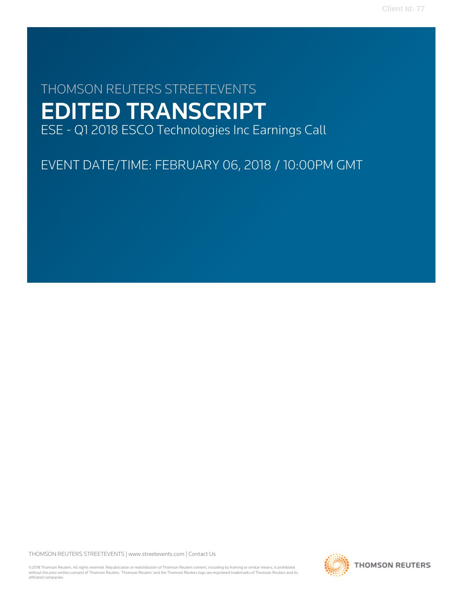# THOMSON REUTERS STREETEVENTS EDITED TRANSCRIPT ESE - Q1 2018 ESCO Technologies Inc Earnings Call

EVENT DATE/TIME: FEBRUARY 06, 2018 / 10:00PM GMT

THOMSON REUTERS STREETEVENTS | [www.streetevents.com](http://www.streetevents.com) | [Contact Us](http://www010.streetevents.com/contact.asp)

©2018 Thomson Reuters. All rights reserved. Republication or redistribution of Thomson Reuters content, including by framing or similar means, is prohibited without the prior written consent of Thomson Reuters. 'Thomson Reuters' and the Thomson Reuters logo are registered trademarks of Thomson Reuters and its affiliated companies.

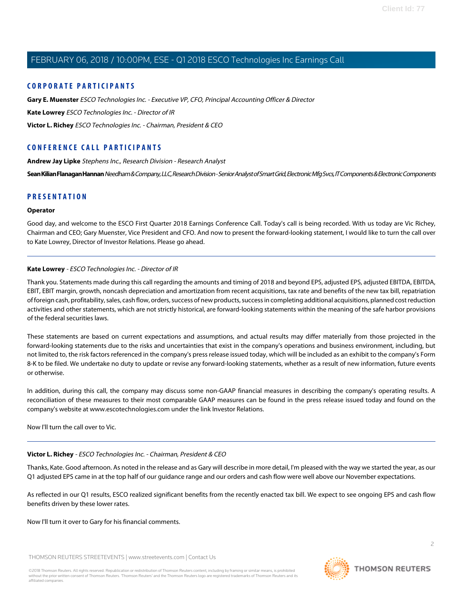#### **CORPORATE PARTICIPANTS**

**[Gary E. Muenster](#page-2-0)** ESCO Technologies Inc. - Executive VP, CFO, Principal Accounting Officer & Director **[Kate Lowrey](#page-1-0)** ESCO Technologies Inc. - Director of IR **[Victor L. Richey](#page-1-1)** ESCO Technologies Inc. - Chairman, President & CEO

## **CONFERENCE CALL PARTICIPANTS**

**[Andrew Jay Lipke](#page-6-0)** Stephens Inc., Research Division - Research Analyst

[Sean Kilian Flanagan Hannan](#page-4-0) Needham & Company, LLC, Research Division - Senior Analyst of Smart Grid, Electronic Mfg Svcs, IT Components & Electronic Components

### **PRESENTATION**

#### **Operator**

<span id="page-1-0"></span>Good day, and welcome to the ESCO First Quarter 2018 Earnings Conference Call. Today's call is being recorded. With us today are Vic Richey, Chairman and CEO; Gary Muenster, Vice President and CFO. And now to present the forward-looking statement, I would like to turn the call over to Kate Lowrey, Director of Investor Relations. Please go ahead.

#### **Kate Lowrey** - ESCO Technologies Inc. - Director of IR

Thank you. Statements made during this call regarding the amounts and timing of 2018 and beyond EPS, adjusted EPS, adjusted EBITDA, EBITDA, EBIT, EBIT margin, growth, noncash depreciation and amortization from recent acquisitions, tax rate and benefits of the new tax bill, repatriation of foreign cash, profitability, sales, cash flow, orders, success of new products, success in completing additional acquisitions, planned cost reduction activities and other statements, which are not strictly historical, are forward-looking statements within the meaning of the safe harbor provisions of the federal securities laws.

These statements are based on current expectations and assumptions, and actual results may differ materially from those projected in the forward-looking statements due to the risks and uncertainties that exist in the company's operations and business environment, including, but not limited to, the risk factors referenced in the company's press release issued today, which will be included as an exhibit to the company's Form 8-K to be filed. We undertake no duty to update or revise any forward-looking statements, whether as a result of new information, future events or otherwise.

In addition, during this call, the company may discuss some non-GAAP financial measures in describing the company's operating results. A reconciliation of these measures to their most comparable GAAP measures can be found in the press release issued today and found on the company's website at www.escotechnologies.com under the link Investor Relations.

<span id="page-1-1"></span>Now I'll turn the call over to Vic.

## **Victor L. Richey** - ESCO Technologies Inc. - Chairman, President & CEO

Thanks, Kate. Good afternoon. As noted in the release and as Gary will describe in more detail, I'm pleased with the way we started the year, as our Q1 adjusted EPS came in at the top half of our guidance range and our orders and cash flow were well above our November expectations.

As reflected in our Q1 results, ESCO realized significant benefits from the recently enacted tax bill. We expect to see ongoing EPS and cash flow benefits driven by these lower rates.

Now I'll turn it over to Gary for his financial comments.

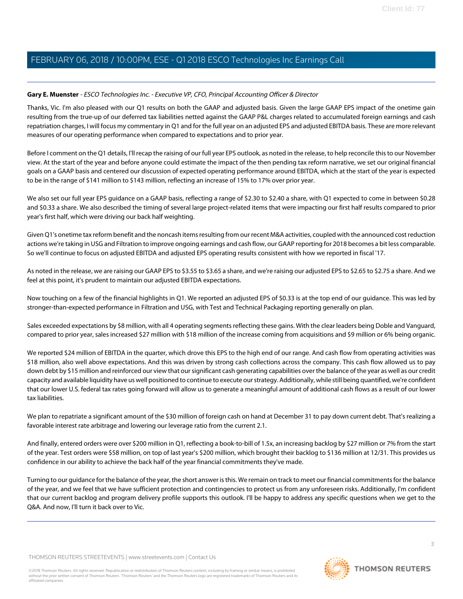#### <span id="page-2-0"></span>**Gary E. Muenster** - ESCO Technologies Inc. - Executive VP, CFO, Principal Accounting Officer & Director

Thanks, Vic. I'm also pleased with our Q1 results on both the GAAP and adjusted basis. Given the large GAAP EPS impact of the onetime gain resulting from the true-up of our deferred tax liabilities netted against the GAAP P&L charges related to accumulated foreign earnings and cash repatriation charges, I will focus my commentary in Q1 and for the full year on an adjusted EPS and adjusted EBITDA basis. These are more relevant measures of our operating performance when compared to expectations and to prior year.

Before I comment on the Q1 details, I'll recap the raising of our full year EPS outlook, as noted in the release, to help reconcile this to our November view. At the start of the year and before anyone could estimate the impact of the then pending tax reform narrative, we set our original financial goals on a GAAP basis and centered our discussion of expected operating performance around EBITDA, which at the start of the year is expected to be in the range of \$141 million to \$143 million, reflecting an increase of 15% to 17% over prior year.

We also set our full year EPS guidance on a GAAP basis, reflecting a range of \$2.30 to \$2.40 a share, with Q1 expected to come in between \$0.28 and \$0.33 a share. We also described the timing of several large project-related items that were impacting our first half results compared to prior year's first half, which were driving our back half weighting.

Given Q1's onetime tax reform benefit and the noncash items resulting from our recent M&A activities, coupled with the announced cost reduction actions we're taking in USG and Filtration to improve ongoing earnings and cash flow, our GAAP reporting for 2018 becomes a bit less comparable. So we'll continue to focus on adjusted EBITDA and adjusted EPS operating results consistent with how we reported in fiscal '17.

As noted in the release, we are raising our GAAP EPS to \$3.55 to \$3.65 a share, and we're raising our adjusted EPS to \$2.65 to \$2.75 a share. And we feel at this point, it's prudent to maintain our adjusted EBITDA expectations.

Now touching on a few of the financial highlights in Q1. We reported an adjusted EPS of \$0.33 is at the top end of our guidance. This was led by stronger-than-expected performance in Filtration and USG, with Test and Technical Packaging reporting generally on plan.

Sales exceeded expectations by \$8 million, with all 4 operating segments reflecting these gains. With the clear leaders being Doble and Vanguard, compared to prior year, sales increased \$27 million with \$18 million of the increase coming from acquisitions and \$9 million or 6% being organic.

We reported \$24 million of EBITDA in the quarter, which drove this EPS to the high end of our range. And cash flow from operating activities was \$18 million, also well above expectations. And this was driven by strong cash collections across the company. This cash flow allowed us to pay down debt by \$15 million and reinforced our view that our significant cash generating capabilities over the balance of the year as well as our credit capacity and available liquidity have us well positioned to continue to execute our strategy. Additionally, while still being quantified, we're confident that our lower U.S. federal tax rates going forward will allow us to generate a meaningful amount of additional cash flows as a result of our lower tax liabilities.

We plan to repatriate a significant amount of the \$30 million of foreign cash on hand at December 31 to pay down current debt. That's realizing a favorable interest rate arbitrage and lowering our leverage ratio from the current 2.1.

And finally, entered orders were over \$200 million in Q1, reflecting a book-to-bill of 1.5x, an increasing backlog by \$27 million or 7% from the start of the year. Test orders were \$58 million, on top of last year's \$200 million, which brought their backlog to \$136 million at 12/31. This provides us confidence in our ability to achieve the back half of the year financial commitments they've made.

Turning to our guidance for the balance of the year, the short answer is this. We remain on track to meet our financial commitments for the balance of the year, and we feel that we have sufficient protection and contingencies to protect us from any unforeseen risks. Additionally, I'm confident that our current backlog and program delivery profile supports this outlook. I'll be happy to address any specific questions when we get to the Q&A. And now, I'll turn it back over to Vic.

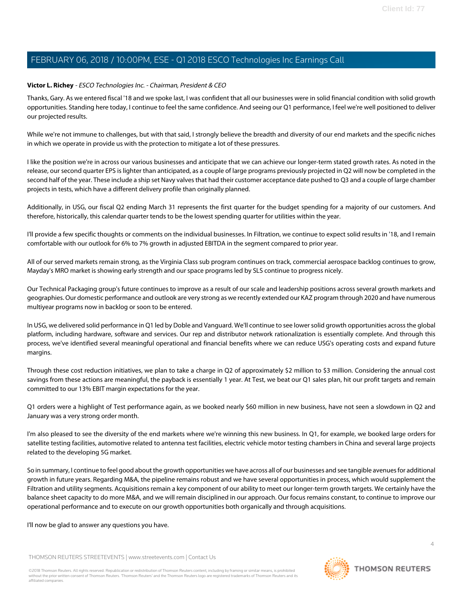#### **Victor L. Richey** - ESCO Technologies Inc. - Chairman, President & CEO

Thanks, Gary. As we entered fiscal '18 and we spoke last, I was confident that all our businesses were in solid financial condition with solid growth opportunities. Standing here today, I continue to feel the same confidence. And seeing our Q1 performance, I feel we're well positioned to deliver our projected results.

While we're not immune to challenges, but with that said, I strongly believe the breadth and diversity of our end markets and the specific niches in which we operate in provide us with the protection to mitigate a lot of these pressures.

I like the position we're in across our various businesses and anticipate that we can achieve our longer-term stated growth rates. As noted in the release, our second quarter EPS is lighter than anticipated, as a couple of large programs previously projected in Q2 will now be completed in the second half of the year. These include a ship set Navy valves that had their customer acceptance date pushed to Q3 and a couple of large chamber projects in tests, which have a different delivery profile than originally planned.

Additionally, in USG, our fiscal Q2 ending March 31 represents the first quarter for the budget spending for a majority of our customers. And therefore, historically, this calendar quarter tends to be the lowest spending quarter for utilities within the year.

I'll provide a few specific thoughts or comments on the individual businesses. In Filtration, we continue to expect solid results in '18, and I remain comfortable with our outlook for 6% to 7% growth in adjusted EBITDA in the segment compared to prior year.

All of our served markets remain strong, as the Virginia Class sub program continues on track, commercial aerospace backlog continues to grow, Mayday's MRO market is showing early strength and our space programs led by SLS continue to progress nicely.

Our Technical Packaging group's future continues to improve as a result of our scale and leadership positions across several growth markets and geographies. Our domestic performance and outlook are very strong as we recently extended our KAZ program through 2020 and have numerous multiyear programs now in backlog or soon to be entered.

In USG, we delivered solid performance in Q1 led by Doble and Vanguard. We'll continue to see lower solid growth opportunities across the global platform, including hardware, software and services. Our rep and distributor network rationalization is essentially complete. And through this process, we've identified several meaningful operational and financial benefits where we can reduce USG's operating costs and expand future margins.

Through these cost reduction initiatives, we plan to take a charge in Q2 of approximately \$2 million to \$3 million. Considering the annual cost savings from these actions are meaningful, the payback is essentially 1 year. At Test, we beat our Q1 sales plan, hit our profit targets and remain committed to our 13% EBIT margin expectations for the year.

Q1 orders were a highlight of Test performance again, as we booked nearly \$60 million in new business, have not seen a slowdown in Q2 and January was a very strong order month.

I'm also pleased to see the diversity of the end markets where we're winning this new business. In Q1, for example, we booked large orders for satellite testing facilities, automotive related to antenna test facilities, electric vehicle motor testing chambers in China and several large projects related to the developing 5G market.

So in summary, I continue to feel good about the growth opportunities we have across all of our businesses and see tangible avenues for additional growth in future years. Regarding M&A, the pipeline remains robust and we have several opportunities in process, which would supplement the Filtration and utility segments. Acquisitions remain a key component of our ability to meet our longer-term growth targets. We certainly have the balance sheet capacity to do more M&A, and we will remain disciplined in our approach. Our focus remains constant, to continue to improve our operational performance and to execute on our growth opportunities both organically and through acquisitions.

#### I'll now be glad to answer any questions you have.

THOMSON REUTERS STREETEVENTS | [www.streetevents.com](http://www.streetevents.com) | [Contact Us](http://www010.streetevents.com/contact.asp)

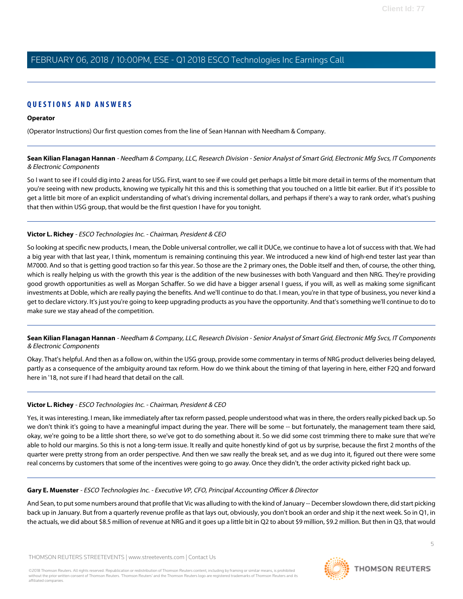# **QUESTIONS AND ANSWERS**

## **Operator**

<span id="page-4-0"></span>(Operator Instructions) Our first question comes from the line of Sean Hannan with Needham & Company.

**Sean Kilian Flanagan Hannan** - Needham & Company, LLC, Research Division - Senior Analyst of Smart Grid, Electronic Mfg Svcs, IT Components & Electronic Components

So I want to see if I could dig into 2 areas for USG. First, want to see if we could get perhaps a little bit more detail in terms of the momentum that you're seeing with new products, knowing we typically hit this and this is something that you touched on a little bit earlier. But if it's possible to get a little bit more of an explicit understanding of what's driving incremental dollars, and perhaps if there's a way to rank order, what's pushing that then within USG group, that would be the first question I have for you tonight.

## **Victor L. Richey** - ESCO Technologies Inc. - Chairman, President & CEO

So looking at specific new products, I mean, the Doble universal controller, we call it DUCe, we continue to have a lot of success with that. We had a big year with that last year, I think, momentum is remaining continuing this year. We introduced a new kind of high-end tester last year than M7000. And so that is getting good traction so far this year. So those are the 2 primary ones, the Doble itself and then, of course, the other thing, which is really helping us with the growth this year is the addition of the new businesses with both Vanguard and then NRG. They're providing good growth opportunities as well as Morgan Schaffer. So we did have a bigger arsenal I guess, if you will, as well as making some significant investments at Doble, which are really paying the benefits. And we'll continue to do that. I mean, you're in that type of business, you never kind a get to declare victory. It's just you're going to keep upgrading products as you have the opportunity. And that's something we'll continue to do to make sure we stay ahead of the competition.

**Sean Kilian Flanagan Hannan** - Needham & Company, LLC, Research Division - Senior Analyst of Smart Grid, Electronic Mfg Svcs, IT Components & Electronic Components

Okay. That's helpful. And then as a follow on, within the USG group, provide some commentary in terms of NRG product deliveries being delayed, partly as a consequence of the ambiguity around tax reform. How do we think about the timing of that layering in here, either F2Q and forward here in '18, not sure if I had heard that detail on the call.

## **Victor L. Richey** - ESCO Technologies Inc. - Chairman, President & CEO

Yes, it was interesting. I mean, like immediately after tax reform passed, people understood what was in there, the orders really picked back up. So we don't think it's going to have a meaningful impact during the year. There will be some -- but fortunately, the management team there said, okay, we're going to be a little short there, so we've got to do something about it. So we did some cost trimming there to make sure that we're able to hold our margins. So this is not a long-term issue. It really and quite honestly kind of got us by surprise, because the first 2 months of the quarter were pretty strong from an order perspective. And then we saw really the break set, and as we dug into it, figured out there were some real concerns by customers that some of the incentives were going to go away. Once they didn't, the order activity picked right back up.

## **Gary E. Muenster** - ESCO Technologies Inc. - Executive VP, CFO, Principal Accounting Officer & Director

And Sean, to put some numbers around that profile that Vic was alluding to with the kind of January -- December slowdown there, did start picking back up in January. But from a quarterly revenue profile as that lays out, obviously, you don't book an order and ship it the next week. So in Q1, in the actuals, we did about \$8.5 million of revenue at NRG and it goes up a little bit in Q2 to about \$9 million, \$9.2 million. But then in Q3, that would

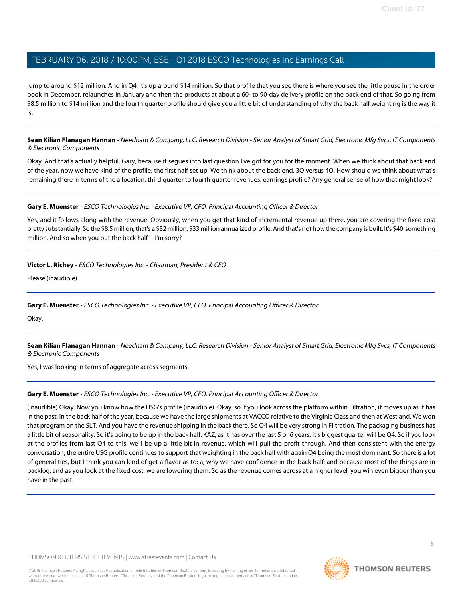jump to around \$12 million. And in Q4, it's up around \$14 million. So that profile that you see there is where you see the little pause in the order book in December, relaunches in January and then the products at about a 60- to 90-day delivery profile on the back end of that. So going from \$8.5 million to \$14 million and the fourth quarter profile should give you a little bit of understanding of why the back half weighting is the way it is.

**Sean Kilian Flanagan Hannan** - Needham & Company, LLC, Research Division - Senior Analyst of Smart Grid, Electronic Mfg Svcs, IT Components & Electronic Components

Okay. And that's actually helpful, Gary, because it segues into last question I've got for you for the moment. When we think about that back end of the year, now we have kind of the profile, the first half set up. We think about the back end, 3Q versus 4Q. How should we think about what's remaining there in terms of the allocation, third quarter to fourth quarter revenues, earnings profile? Any general sense of how that might look?

#### **Gary E. Muenster** - ESCO Technologies Inc. - Executive VP, CFO, Principal Accounting Officer & Director

Yes, and it follows along with the revenue. Obviously, when you get that kind of incremental revenue up there, you are covering the fixed cost pretty substantially. So the \$8.5 million, that's a \$32 million, \$33 million annualized profile. And that's not how the company is built. It's \$40-something million. And so when you put the back half -- I'm sorry?

#### **Victor L. Richey** - ESCO Technologies Inc. - Chairman, President & CEO

Please (inaudible).

#### **Gary E. Muenster** - ESCO Technologies Inc. - Executive VP, CFO, Principal Accounting Officer & Director

Okay.

**Sean Kilian Flanagan Hannan** - Needham & Company, LLC, Research Division - Senior Analyst of Smart Grid, Electronic Mfg Svcs, IT Components & Electronic Components

Yes, I was looking in terms of aggregate across segments.

#### **Gary E. Muenster** - ESCO Technologies Inc. - Executive VP, CFO, Principal Accounting Officer & Director

(inaudible) Okay. Now you know how the USG's profile (inaudible). Okay. so if you look across the platform within Filtration, it moves up as it has in the past, in the back half of the year, because we have the large shipments at VACCO relative to the Virginia Class and then at Westland. We won that program on the SLT. And you have the revenue shipping in the back there. So Q4 will be very strong in Filtration. The packaging business has a little bit of seasonality. So it's going to be up in the back half. KAZ, as it has over the last 5 or 6 years, it's biggest quarter will be Q4. So if you look at the profiles from last Q4 to this, we'll be up a little bit in revenue, which will pull the profit through. And then consistent with the energy conversation, the entire USG profile continues to support that weighting in the back half with again Q4 being the most dominant. So there is a lot of generalities, but I think you can kind of get a flavor as to: a, why we have confidence in the back half; and because most of the things are in backlog, and as you look at the fixed cost, we are lowering them. So as the revenue comes across at a higher level, you win even bigger than you have in the past.

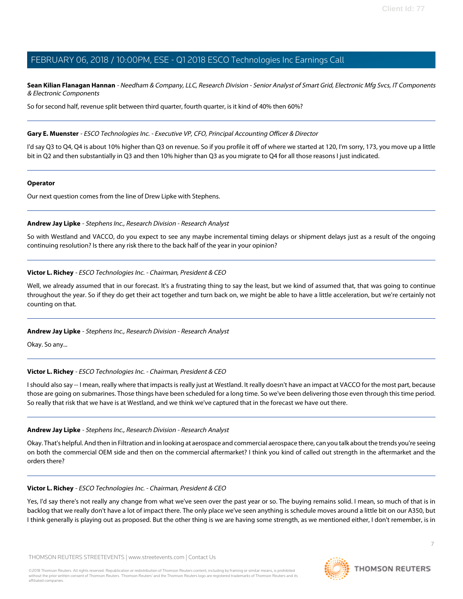**Sean Kilian Flanagan Hannan** - Needham & Company, LLC, Research Division - Senior Analyst of Smart Grid, Electronic Mfg Svcs, IT Components & Electronic Components

So for second half, revenue split between third quarter, fourth quarter, is it kind of 40% then 60%?

#### **Gary E. Muenster** - ESCO Technologies Inc. - Executive VP, CFO, Principal Accounting Officer & Director

I'd say Q3 to Q4, Q4 is about 10% higher than Q3 on revenue. So if you profile it off of where we started at 120, I'm sorry, 173, you move up a little bit in Q2 and then substantially in Q3 and then 10% higher than Q3 as you migrate to Q4 for all those reasons I just indicated.

#### **Operator**

<span id="page-6-0"></span>Our next question comes from the line of Drew Lipke with Stephens.

#### **Andrew Jay Lipke** - Stephens Inc., Research Division - Research Analyst

So with Westland and VACCO, do you expect to see any maybe incremental timing delays or shipment delays just as a result of the ongoing continuing resolution? Is there any risk there to the back half of the year in your opinion?

#### **Victor L. Richey** - ESCO Technologies Inc. - Chairman, President & CEO

Well, we already assumed that in our forecast. It's a frustrating thing to say the least, but we kind of assumed that, that was going to continue throughout the year. So if they do get their act together and turn back on, we might be able to have a little acceleration, but we're certainly not counting on that.

#### **Andrew Jay Lipke** - Stephens Inc., Research Division - Research Analyst

Okay. So any...

#### **Victor L. Richey** - ESCO Technologies Inc. - Chairman, President & CEO

I should also say -- I mean, really where that impacts is really just at Westland. It really doesn't have an impact at VACCO for the most part, because those are going on submarines. Those things have been scheduled for a long time. So we've been delivering those even through this time period. So really that risk that we have is at Westland, and we think we've captured that in the forecast we have out there.

#### **Andrew Jay Lipke** - Stephens Inc., Research Division - Research Analyst

Okay. That's helpful. And then in Filtration and in looking at aerospace and commercial aerospace there, can you talk about the trends you're seeing on both the commercial OEM side and then on the commercial aftermarket? I think you kind of called out strength in the aftermarket and the orders there?

#### **Victor L. Richey** - ESCO Technologies Inc. - Chairman, President & CEO

Yes, I'd say there's not really any change from what we've seen over the past year or so. The buying remains solid. I mean, so much of that is in backlog that we really don't have a lot of impact there. The only place we've seen anything is schedule moves around a little bit on our A350, but I think generally is playing out as proposed. But the other thing is we are having some strength, as we mentioned either, I don't remember, is in

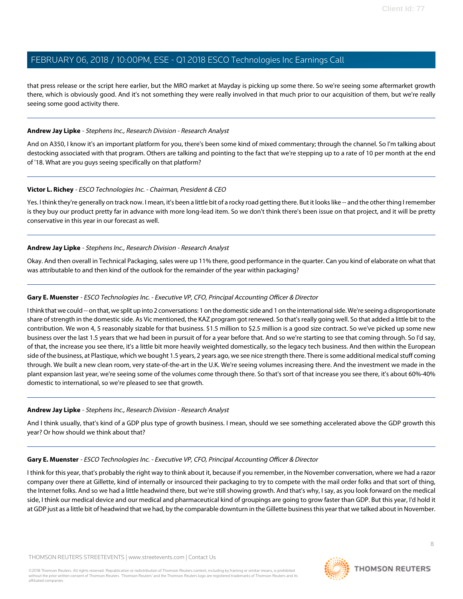that press release or the script here earlier, but the MRO market at Mayday is picking up some there. So we're seeing some aftermarket growth there, which is obviously good. And it's not something they were really involved in that much prior to our acquisition of them, but we're really seeing some good activity there.

#### **Andrew Jay Lipke** - Stephens Inc., Research Division - Research Analyst

And on A350, I know it's an important platform for you, there's been some kind of mixed commentary; through the channel. So I'm talking about destocking associated with that program. Others are talking and pointing to the fact that we're stepping up to a rate of 10 per month at the end of '18. What are you guys seeing specifically on that platform?

#### **Victor L. Richey** - ESCO Technologies Inc. - Chairman, President & CEO

Yes. I think they're generally on track now. I mean, it's been a little bit of a rocky road getting there. But it looks like -- and the other thing I remember is they buy our product pretty far in advance with more long-lead item. So we don't think there's been issue on that project, and it will be pretty conservative in this year in our forecast as well.

#### **Andrew Jay Lipke** - Stephens Inc., Research Division - Research Analyst

Okay. And then overall in Technical Packaging, sales were up 11% there, good performance in the quarter. Can you kind of elaborate on what that was attributable to and then kind of the outlook for the remainder of the year within packaging?

#### **Gary E. Muenster** - ESCO Technologies Inc. - Executive VP, CFO, Principal Accounting Officer & Director

I think that we could -- on that, we split up into 2 conversations: 1 on the domestic side and 1 on the international side. We're seeing a disproportionate share of strength in the domestic side. As Vic mentioned, the KAZ program got renewed. So that's really going well. So that added a little bit to the contribution. We won 4, 5 reasonably sizable for that business. \$1.5 million to \$2.5 million is a good size contract. So we've picked up some new business over the last 1.5 years that we had been in pursuit of for a year before that. And so we're starting to see that coming through. So I'd say, of that, the increase you see there, it's a little bit more heavily weighted domestically, so the legacy tech business. And then within the European side of the business, at Plastique, which we bought 1.5 years, 2 years ago, we see nice strength there. There is some additional medical stuff coming through. We built a new clean room, very state-of-the-art in the U.K. We're seeing volumes increasing there. And the investment we made in the plant expansion last year, we're seeing some of the volumes come through there. So that's sort of that increase you see there, it's about 60%-40% domestic to international, so we're pleased to see that growth.

#### **Andrew Jay Lipke** - Stephens Inc., Research Division - Research Analyst

And I think usually, that's kind of a GDP plus type of growth business. I mean, should we see something accelerated above the GDP growth this year? Or how should we think about that?

#### **Gary E. Muenster** - ESCO Technologies Inc. - Executive VP, CFO, Principal Accounting Officer & Director

I think for this year, that's probably the right way to think about it, because if you remember, in the November conversation, where we had a razor company over there at Gillette, kind of internally or insourced their packaging to try to compete with the mail order folks and that sort of thing, the Internet folks. And so we had a little headwind there, but we're still showing growth. And that's why, I say, as you look forward on the medical side, I think our medical device and our medical and pharmaceutical kind of groupings are going to grow faster than GDP. But this year, I'd hold it at GDP just as a little bit of headwind that we had, by the comparable downturn in the Gillette business this year that we talked about in November.

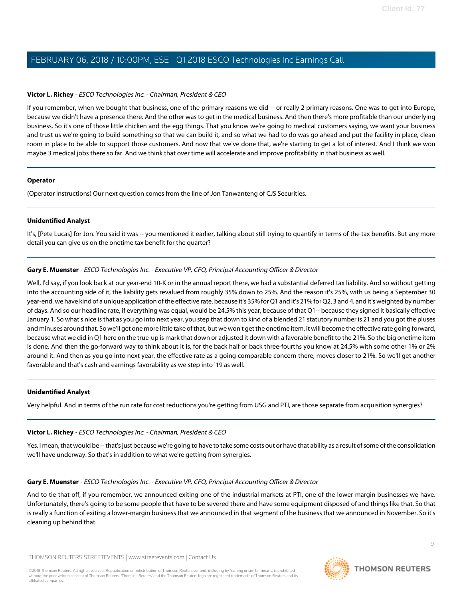#### **Victor L. Richey** - ESCO Technologies Inc. - Chairman, President & CEO

If you remember, when we bought that business, one of the primary reasons we did -- or really 2 primary reasons. One was to get into Europe, because we didn't have a presence there. And the other was to get in the medical business. And then there's more profitable than our underlying business. So it's one of those little chicken and the egg things. That you know we're going to medical customers saying, we want your business and trust us we're going to build something so that we can build it, and so what we had to do was go ahead and put the facility in place, clean room in place to be able to support those customers. And now that we've done that, we're starting to get a lot of interest. And I think we won maybe 3 medical jobs there so far. And we think that over time will accelerate and improve profitability in that business as well.

#### **Operator**

(Operator Instructions) Our next question comes from the line of Jon Tanwanteng of CJS Securities.

#### **Unidentified Analyst**

It's, [Pete Lucas] for Jon. You said it was -- you mentioned it earlier, talking about still trying to quantify in terms of the tax benefits. But any more detail you can give us on the onetime tax benefit for the quarter?

#### **Gary E. Muenster** - ESCO Technologies Inc. - Executive VP, CFO, Principal Accounting Officer & Director

Well, I'd say, if you look back at our year-end 10-K or in the annual report there, we had a substantial deferred tax liability. And so without getting into the accounting side of it, the liability gets revalued from roughly 35% down to 25%. And the reason it's 25%, with us being a September 30 year-end, we have kind of a unique application of the effective rate, because it's 35% for Q1 and it's 21% for Q2, 3 and 4, and it's weighted by number of days. And so our headline rate, if everything was equal, would be 24.5% this year, because of that Q1-- because they signed it basically effective January 1. So what's nice is that as you go into next year, you step that down to kind of a blended 21 statutory number is 21 and you got the pluses and minuses around that. So we'll get one more little take of that, but we won't get the onetime item, it will become the effective rate going forward, because what we did in Q1 here on the true-up is mark that down or adjusted it down with a favorable benefit to the 21%. So the big onetime item is done. And then the go-forward way to think about it is, for the back half or back three-fourths you know at 24.5% with some other 1% or 2% around it. And then as you go into next year, the effective rate as a going comparable concern there, moves closer to 21%. So we'll get another favorable and that's cash and earnings favorability as we step into '19 as well.

#### **Unidentified Analyst**

Very helpful. And in terms of the run rate for cost reductions you're getting from USG and PTI, are those separate from acquisition synergies?

#### **Victor L. Richey** - ESCO Technologies Inc. - Chairman, President & CEO

Yes. I mean, that would be -- that's just because we're going to have to take some costs out or have that ability as a result of some of the consolidation we'll have underway. So that's in addition to what we're getting from synergies.

#### **Gary E. Muenster** - ESCO Technologies Inc. - Executive VP, CFO, Principal Accounting Officer & Director

And to tie that off, if you remember, we announced exiting one of the industrial markets at PTI, one of the lower margin businesses we have. Unfortunately, there's going to be some people that have to be severed there and have some equipment disposed of and things like that. So that is really a function of exiting a lower-margin business that we announced in that segment of the business that we announced in November. So it's cleaning up behind that.

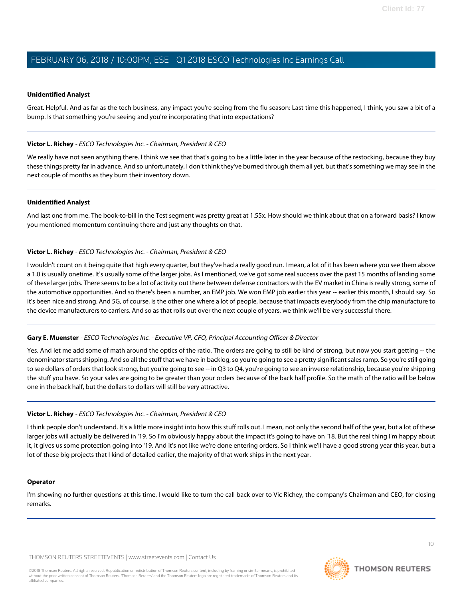#### **Unidentified Analyst**

Great. Helpful. And as far as the tech business, any impact you're seeing from the flu season: Last time this happened, I think, you saw a bit of a bump. Is that something you're seeing and you're incorporating that into expectations?

#### **Victor L. Richey** - ESCO Technologies Inc. - Chairman, President & CEO

We really have not seen anything there. I think we see that that's going to be a little later in the year because of the restocking, because they buy these things pretty far in advance. And so unfortunately, I don't think they've burned through them all yet, but that's something we may see in the next couple of months as they burn their inventory down.

#### **Unidentified Analyst**

And last one from me. The book-to-bill in the Test segment was pretty great at 1.55x. How should we think about that on a forward basis? I know you mentioned momentum continuing there and just any thoughts on that.

#### **Victor L. Richey** - ESCO Technologies Inc. - Chairman, President & CEO

I wouldn't count on it being quite that high every quarter, but they've had a really good run. I mean, a lot of it has been where you see them above a 1.0 is usually onetime. It's usually some of the larger jobs. As I mentioned, we've got some real success over the past 15 months of landing some of these larger jobs. There seems to be a lot of activity out there between defense contractors with the EV market in China is really strong, some of the automotive opportunities. And so there's been a number, an EMP job. We won EMP job earlier this year -- earlier this month, I should say. So it's been nice and strong. And 5G, of course, is the other one where a lot of people, because that impacts everybody from the chip manufacture to the device manufacturers to carriers. And so as that rolls out over the next couple of years, we think we'll be very successful there.

#### **Gary E. Muenster** - ESCO Technologies Inc. - Executive VP, CFO, Principal Accounting Officer & Director

Yes. And let me add some of math around the optics of the ratio. The orders are going to still be kind of strong, but now you start getting -- the denominator starts shipping. And so all the stuff that we have in backlog, so you're going to see a pretty significant sales ramp. So you're still going to see dollars of orders that look strong, but you're going to see -- in Q3 to Q4, you're going to see an inverse relationship, because you're shipping the stuff you have. So your sales are going to be greater than your orders because of the back half profile. So the math of the ratio will be below one in the back half, but the dollars to dollars will still be very attractive.

#### **Victor L. Richey** - ESCO Technologies Inc. - Chairman, President & CEO

I think people don't understand. It's a little more insight into how this stuff rolls out. I mean, not only the second half of the year, but a lot of these larger jobs will actually be delivered in '19. So I'm obviously happy about the impact it's going to have on '18. But the real thing I'm happy about it, it gives us some protection going into '19. And it's not like we're done entering orders. So I think we'll have a good strong year this year, but a lot of these big projects that I kind of detailed earlier, the majority of that work ships in the next year.

#### **Operator**

I'm showing no further questions at this time. I would like to turn the call back over to Vic Richey, the company's Chairman and CEO, for closing remarks.